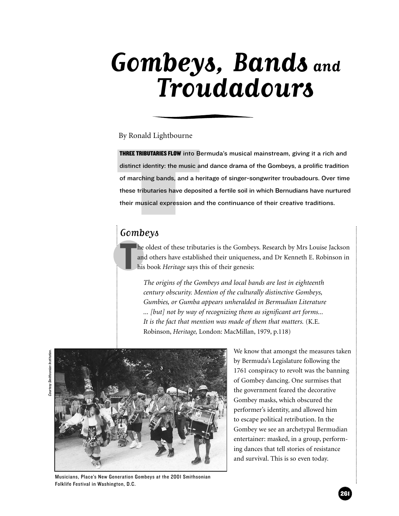# **Gombeys, Bands and Troudadours**

By Ronald Lightbourne

**THREE TRIBUTARIES FLOW** into Be<br>distinct identity: the music a<br>of marching bands, and a he<br>these tributaries have depos<br>their musical expression an<br> $Gombey\delta$ THREE TRIBUTARIES FLOW into Bermuda's musical mainstream, giving it a rich and distinct identity: the music and dance drama of the Gombeys, a prolific tradition of marching bands, and a heritage of singer-songwriter troubadours. Over time these tributaries have deposited a fertile soil in which Bernudians have nurtured their musical expression and the continuance of their creative traditions.

# Gombeys

T he oldest of these tributaries is the Gombeys. Research by Mrs Louise Jackson and others have established their uniqueness, and Dr Kenneth E. Robinson in his book *Heritage* says this of their genesis:

*The origins of the Gombeys and local bands are lost in eighteenth century obscurity. Mention of the culturally distinctive Gombeys, Gumbies, or Gumba appears unheralded in Bermudian Literature ... [but] not by way of recognizing them as significant art forms... It is the fact that mention was made of them that matters.* (K.E. Robinson, *Heritage,* London: MacMillan, 1979, p.118)



We know that amongst the measures taken by Bermuda's Legislature following the 1761 conspiracy to revolt was the banning of Gombey dancing. One surmises that the government feared the decorative Gombey masks, which obscured the performer's identity, and allowed him to escape political retribution. In the Gombey we see an archetypal Bermudian entertainer: masked, in a group, performing dances that tell stories of resistance and survival. This is so even today.

Courtesy Smithsonian Institution.Courtesy Smithsonian Institution

Musicians, Place's New Generation Gombeys at the 2001 Smithsonian Folklife Festival in Washington, D.C.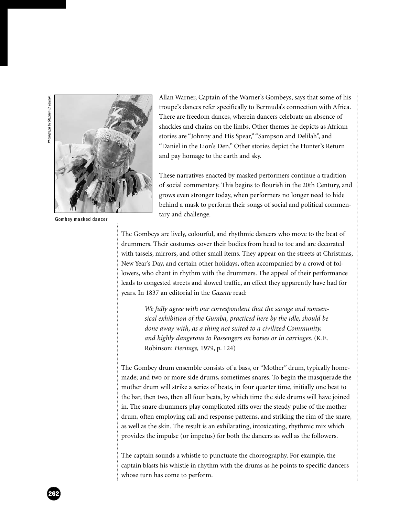

Gombey masked dancer

Allan Warner, Captain of the Warner's Gombeys, says that some of his troupe's dances refer specifically to Bermuda's connection with Africa. There are freedom dances, wherein dancers celebrate an absence of shackles and chains on the limbs. Other themes he depicts as African stories are "Johnny and His Spear," "Sampson and Delilah", and "Daniel in the Lion's Den." Other stories depict the Hunter's Return and pay homage to the earth and sky.

These narratives enacted by masked performers continue a tradition of social commentary. This begins to flourish in the 20th Century, and grows even stronger today, when performers no longer need to hide behind a mask to perform their songs of social and political commentary and challenge.

The Gombeys are lively, colourful, and rhythmic dancers who move to the beat of drummers. Their costumes cover their bodies from head to toe and are decorated with tassels, mirrors, and other small items. They appear on the streets at Christmas, New Year's Day, and certain other holidays, often accompanied by a crowd of followers, who chant in rhythm with the drummers. The appeal of their performance leads to congested streets and slowed traffic, an effect they apparently have had for years. In 1837 an editorial in the *Gazette* read:

> *We fully agree with our correspondent that the savage and nonsensical exhibition of the Gumba, practiced here by the idle, should be done away with, as a thing not suited to a civilized Community, and highly dangerous to Passengers on horses or in carriages.* (K.E. Robinson: *Heritage,* 1979, p. 124)

The Gombey drum ensemble consists of a bass, or "Mother" drum, typically homemade; and two or more side drums, sometimes snares. To begin the masquerade the mother drum will strike a series of beats, in four quarter time, initially one beat to the bar, then two, then all four beats, by which time the side drums will have joined in. The snare drummers play complicated riffs over the steady pulse of the mother drum, often employing call and response patterns, and striking the rim of the snare, as well as the skin. The result is an exhilarating, intoxicating, rhythmic mix which provides the impulse (or impetus) for both the dancers as well as the followers.

The captain sounds a whistle to punctuate the choreography. For example, the captain blasts his whistle in rhythm with the drums as he points to specific dancers whose turn has come to perform.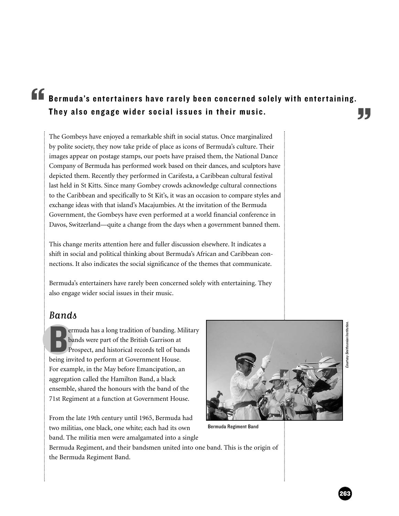# **They also entertainers have rarely been concerned solely with entertaining.**<br>They also engage wider social issues in their music.

The Gombeys have enjoyed a remarkable shift in social status. Once marginalized by polite society, they now take pride of place as icons of Bermuda's culture. Their images appear on postage stamps, our poets have praised them, the National Dance Company of Bermuda has performed work based on their dances, and sculptors have depicted them. Recently they performed in Carifesta, a Caribbean cultural festival last held in St Kitts. Since many Gombey crowds acknowledge cultural connections to the Caribbean and specifically to St Kit's, it was an occasion to compare styles and exchange ideas with that island's Macajumbies. At the invitation of the Bermuda Government, the Gombeys have even performed at a world financial conference in Davos, Switzerland—quite a change from the days when a government banned them.

This change merits attention here and fuller discussion elsewhere. It indicates a shift in social and political thinking about Bermuda's African and Caribbean connections. It also indicates the social significance of the themes that communicate.

Bermuda's entertainers have rarely been concerned solely with entertaining. They also engage wider social issues in their music.

# Bands

**BEN SERVIER IN SURVEY STARK SERVIER SERVIER SERVIER SERVIER SERVIER SERVIER SERVIER SERVIER SERVIER SERVIER SERVIER SERVIER SERVIER SERVIER SERVIER SERVIER SERVIER SERVIER SERVIER SERVIER SERVIER SERVIER SERVIER SERVIER S** ermuda has a long tradition of banding. Military bands were part of the British Garrison at Prospect, and historical records tell of bands For example, in the May before Emancipation, an aggregation called the Hamilton Band, a black ensemble, shared the honours with the band of the 71st Regiment at a function at Government House.

From the late 19th century until 1965, Bermuda had two militias, one black, one white; each had its own band. The militia men were amalgamated into a single



Bermuda Regiment Band

Bermuda Regiment, and their bandsmen united into one band. This is the origin of the Bermuda Regiment Band.

263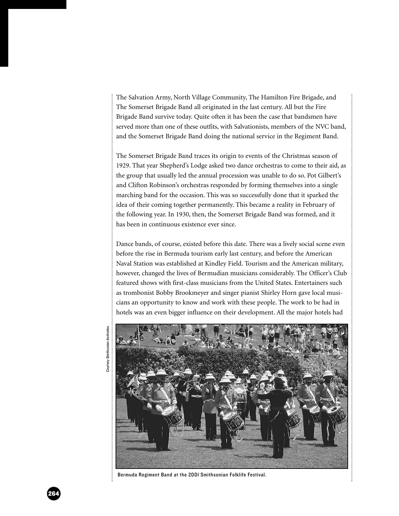The Salvation Army, North Village Community, The Hamilton Fire Brigade, and The Somerset Brigade Band all originated in the last century. All but the Fire Brigade Band survive today. Quite often it has been the case that bandsmen have served more than one of these outfits, with Salvationists, members of the NVC band, and the Somerset Brigade Band doing the national service in the Regiment Band.

The Somerset Brigade Band traces its origin to events of the Christmas season of 1929. That year Shepherd's Lodge asked two dance orchestras to come to their aid, as the group that usually led the annual procession was unable to do so. Pot Gilbert's and Clifton Robinson's orchestras responded by forming themselves into a single marching band for the occasion. This was so successfully done that it sparked the idea of their coming together permanently. This became a reality in February of the following year. In 1930, then, the Somerset Brigade Band was formed, and it has been in continuous existence ever since.

Dance bands, of course, existed before this date. There was a lively social scene even before the rise in Bermuda tourism early last century, and before the American Naval Station was established at Kindley Field. Tourism and the American military, however, changed the lives of Bermudian musicians considerably. The Officer's Club featured shows with first-class musicians from the United States. Entertainers such as trombonist Bobby Brookmeyer and singer pianist Shirley Horn gave local musicians an opportunity to know and work with these people. The work to be had in hotels was an even bigger influence on their development. All the major hotels had





Bermuda Regiment Band at the 2001 Smithsonian Folklife Festival.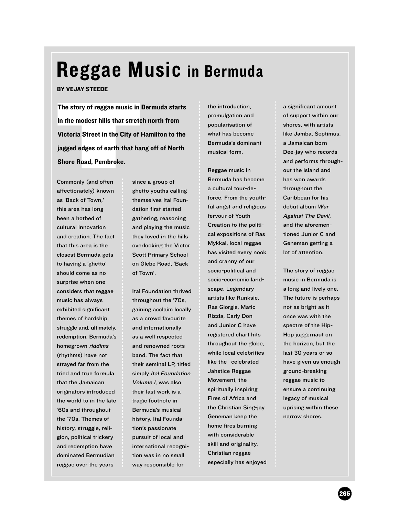# Reggae Music in Bermuda

### BY VEJAY STEEDE

The story of reggae music in<br>in the modest hills that stretc<br>Victoria Street in the City of l<br>jagged edges of earth that ha<br>Shore Road, Pembroke.<br>Commonly (and often sinc<br>affectionately) known ghe The story of reggae music in Bermuda starts in the modest hills that stretch north from Victoria Street in the City of Hamilton to the jagged edges of earth that hang off of North Shore Road, Pembroke.

Commonly (and often affectionately) known as 'Back of Town,' this area has long been a hotbed of cultural innovation and creation. The fact that this area is the closest Bermuda gets to having a 'ghetto' should come as no surprise when one considers that reggae music has always exhibited significant themes of hardship, struggle and, ultimately, redemption. Bermuda's homegrown riddims (rhythms) have not strayed far from the tried and true formula that the Jamaican originators introduced the world to in the late '60s and throughout the '70s. Themes of history, struggle, religion, political trickery and redemption have dominated Bermudian reggae over the years

since a group of ghetto youths calling themselves Ital Foundation first started gathering, reasoning and playing the music they loved in the hills overlooking the Victor Scott Primary School on Glebe Road, 'Back of Town'.

Ital Foundation thrived throughout the '70s, gaining acclaim locally as a crowd favourite and internationally as a well respected and renowned roots band. The fact that their seminal LP, titled simply Ital Foundation Volume 1, was also their last work is a tragic footnote in Bermuda's musical history. Ital Foundation's passionate pursuit of local and international recognition was in no small way responsible for

the introduction, promulgation and popularisation of what has become Bermuda's dominant musical form.

Reggae music in Bermuda has become a cultural tour-deforce. From the youthful angst and religious fervour of Youth Creation to the political expositions of Ras Mykkal, local reggae has visited every nook and cranny of our socio-political and socio-economic landscape. Legendary artists like Runksie, Ras Giorgis, Matic Rizzla, Carly Don and Junior C have registered chart hits throughout the globe, while local celebrities like the celebrated Jahstice Reggae Movement, the spiritually inspiring Fires of Africa and the Christian Sing-jay Geneman keep the home fires burning with considerable skill and originality. Christian reggae especially has enjoyed

a significant amount of support within our shores, with artists like Jamba, Septimus, a Jamaican born Dee-jay who records and performs throughout the island and has won awards throughout the Caribbean for his debut album War Against The Devil, and the aforementioned Junior C and Geneman getting a lot of attention.

The story of reggae music in Bermuda is a long and lively one. The future is perhaps not as bright as it once was with the spectre of the Hip-Hop juggernaut on the horizon, but the last 30 years or so have given us enough ground-breaking reggae music to ensure a continuing legacy of musical uprising within these narrow shores.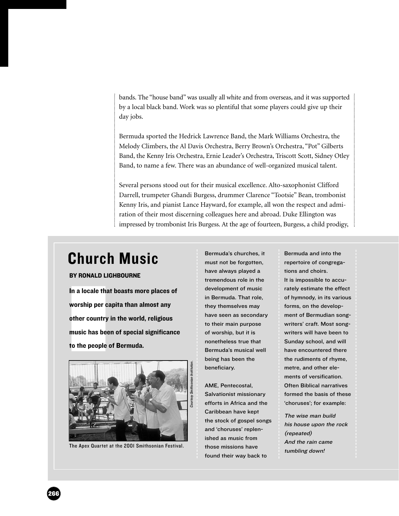bands. The "house band" was usually all white and from overseas, and it was supported by a local black band. Work was so plentiful that some players could give up their day jobs.

Bermuda sported the Hedrick Lawrence Band, the Mark Williams Orchestra, the Melody Climbers, the Al Davis Orchestra, Berry Brown's Orchestra, "Pot" Gilberts Band, the Kenny Iris Orchestra, Ernie Leader's Orchestra, Triscott Scott, Sidney Otley Band, to name a few. There was an abundance of well-organized musical talent.

Several persons stood out for their musical excellence. Alto-saxophonist Clifford Darrell, trumpeter Ghandi Burgess, drummer Clarence "Tootsie" Bean, trombonist Kenny Iris, and pianist Lance Hayward, for example, all won the respect and admiration of their most discerning colleagues here and abroad. Duke Ellington was impressed by trombonist Iris Burgess. At the age of fourteen, Burgess, a child prodigy,

# Church Music

### BY RONALD LIGHBOURNE

In a locale tha<br>worship per ca<br>other country<br>music has bee<br>to the people In a locale that boasts more places of worship per capita than almost any other country in the world, religious music has been of special significance to the people of Bermuda.



The Apex Quartet at the 2001 Smithsonian Festival.

Bermuda's churches, it must not be forgotten, have always played a tremendous role in the development of music in Bermuda. That role, they themselves may have seen as secondary to their main purpose of worship, but it is nonetheless true that Bermuda's musical well being has been the beneficiary.

AME, Pentecostal, Salvationist missionary efforts in Africa and the Caribbean have kept the stock of gospel songs and 'choruses' replenished as music from those missions have found their way back to

Bermuda and into the repertoire of congregations and choirs. It is impossible to accurately estimate the effect of hymnody, in its various forms, on the development of Bermudian songwriters' craft. Most songwriters will have been to Sunday school, and will have encountered there the rudiments of rhyme, metre, and other elements of versification. Often Biblical narratives formed the basis of these 'choruses'; for example:

The wise man build his house upon the rock (repeated) And the rain came tumbling down!

266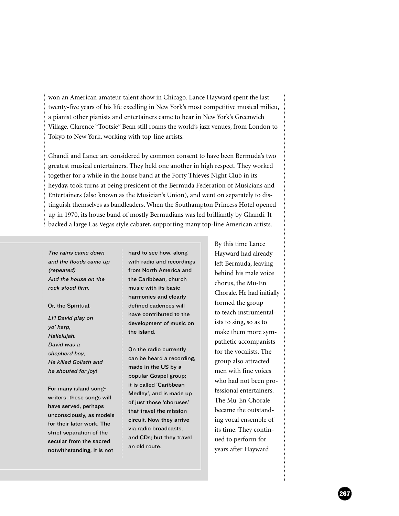won an American amateur talent show in Chicago. Lance Hayward spent the last twenty-five years of his life excelling in New York's most competitive musical milieu, a pianist other pianists and entertainers came to hear in New York's Greenwich Village. Clarence "Tootsie" Bean still roams the world's jazz venues, from London to Tokyo to New York, working with top-line artists.

Ghandi and Lance are considered by common consent to have been Bermuda's two greatest musical entertainers. They held one another in high respect. They worked together for a while in the house band at the Forty Thieves Night Club in its heyday, took turns at being president of the Bermuda Federation of Musicians and Entertainers (also known as the Musician's Union), and went on separately to distinguish themselves as bandleaders. When the Southampton Princess Hotel opened up in 1970, its house band of mostly Bermudians was led brilliantly by Ghandi. It backed a large Las Vegas style cabaret, supporting many top-line American artists.

The rains came down and the floods came up (repeated) And the house on the rock stood firm.

Or, the Spiritual,

Li'l David play on yo' harp, Hallelujah. David was a shepherd boy, He killed Goliath and he shouted for joy!

For many island songwriters, these songs will have served, perhaps unconsciously, as models for their later work. The strict separation of the secular from the sacred notwithstanding, it is not

hard to see how, along with radio and recordings from North America and the Caribbean, church music with its basic harmonies and clearly defined cadences will have contributed to the development of music on the island.

On the radio currently can be heard a recording, made in the US by a popular Gospel group; it is called 'Caribbean Medley', and is made up of just those 'choruses' that travel the mission circuit. Now they arrive via radio broadcasts, and CDs; but they travel an old route.

By this time Lance Hayward had already left Bermuda, leaving behind his male voice chorus, the Mu-En Chorale. He had initially formed the group to teach instrumentalists to sing, so as to make them more sympathetic accompanists for the vocalists. The group also attracted men with fine voices who had not been professional entertainers. The Mu-En Chorale became the outstanding vocal ensemble of its time. They continued to perform for years after Hayward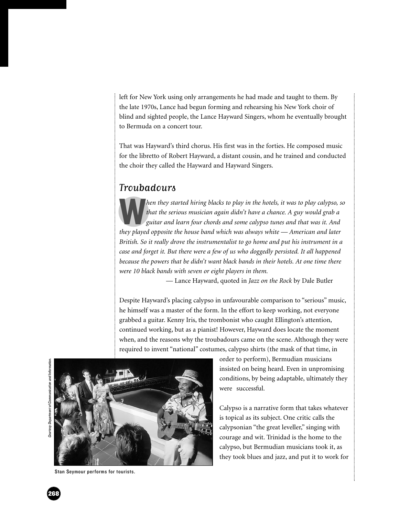left for New York using only arrangements he had made and taught to them. By the late 1970s, Lance had begun forming and rehearsing his New York choir of blind and sighted people, the Lance Hayward Singers, whom he eventually brought to Bermuda on a concert tour.

That was Hayward's third chorus. His first was in the forties. He composed music for the libretto of Robert Hayward, a distant cousin, and he trained and conducted the choir they called the Hayward and Hayward Singers.

# Troubadours

W*hen they started hiring blacks to play in the hotels, it was to play calypso, so that the serious musician again didn't have a chance. A guy would grab a guitar and learn four chords and some calypso tunes and that was it. And they played opposite the house band which was always white — American and later British. So it really drove the instrumentalist to go home and put his instrument in a case and forget it. But there were a few of us who doggedly persisted. It all happened because the powers that be didn't want black bands in their hotels. At one time there were 10 black bands with seven or eight players in them.*

— Lance Hayward, quoted in *Jazz on the Rock* by Dale Butler

Despite Hayward's placing calypso in unfavourable comparison to "serious" music, he himself was a master of the form. In the effort to keep working, not everyone grabbed a guitar. Kenny Iris, the trombonist who caught Ellington's attention, continued working, but as a pianist! However, Hayward does locate the moment when, and the reasons why the troubadours came on the scene. Although they were required to invent "national" costumes, calypso shirts (the mask of that time, in



Stan Seymour performs for tourists.

order to perform), Bermudian musicians insisted on being heard. Even in unpromising conditions, by being adaptable, ultimately they were successful.

Calypso is a narrative form that takes whatever is topical as its subject. One critic calls the calypsonian "the great leveller," singing with courage and wit. Trinidad is the home to the calypso, but Bermudian musicians took it, as they took blues and jazz, and put it to work for

268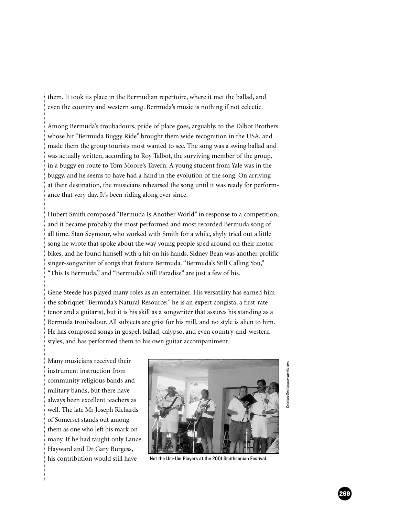them. It took its place in the Bermudian repertoire, where it met the ballad, and even the country and western song. Bermuda's music is nothing if not eclectic.

Among Bermuda's troubadours, pride of place goes, arguably, to the Talbot Brothers whose hit "Bermuda Buggy Ride" brought them wide recognition in the USA, and made them the group tourists most wanted to see. The song was a swing ballad and was actually written, according to Roy Talbot, the surviving member of the group, in a buggy en route to Tom Moore's Tavern. A young student from Yale was in the buggy, and he seems to have had a hand in the evolution of the song. On arriving at their destination, the musicians rehearsed the song until it was ready for performance that very day. It's been riding along ever since.

Hubert Smith composed "Bermuda Is Another World" in response to a competition, and it became probably the most performed and most recorded Bermuda song of all time. Stan Seymour, who worked with Smith for a while, shyly tried out a little song he wrote that spoke about the way young people sped around on their motor bikes, and he found himself with a hit on his hands. Sidney Bean was another prolific singer-songwriter of songs that feature Bermuda. "Bermuda's Still Calling You," "This Is Bermuda," and "Bermuda's Still Paradise" are just a few of his.

Gene Steede has played many roles as an entertainer. His versatility has earned him the sobriquet "Bermuda's Natural Resource;" he is an expert congista, a first-rate tenor and a guitarist, but it is his skill as a songwriter that assures his standing as a Bermuda troubadour. All subjects are grist for his mill, and no style is alien to him. He has composed songs in gospel, ballad, calypso, and even country-and-western styles, and has performed them to his own guitar accompaniment.

Many musicians received their instrument instruction from community religious bands and military bands, but there have always been excellent teachers as well. The late Mr Joseph Richards of Somerset stands out among them as one who left his mark on many. If he had taught only Lance Hayward and Dr Gary Burgess, his contribution would still have



Not the Um-Um Players at the 2001 Smithsonian Festival.

Courtesy Smithsonian Institutiom. tesy Smiths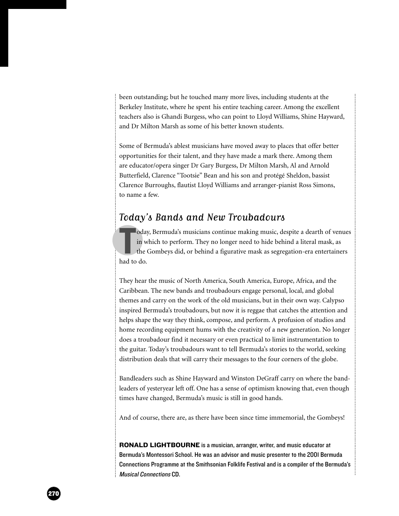been outstanding; but he touched many more lives, including students at the Berkeley Institute, where he spent his entire teaching career. Among the excellent teachers also is Ghandi Burgess, who can point to Lloyd Williams, Shine Hayward, and Dr Milton Marsh as some of his better known students.

Some of Bermuda's ablest musicians have moved away to places that offer better opportunities for their talent, and they have made a mark there. Among them are educator/opera singer Dr Gary Burgess, Dr Milton Marsh, Al and Arnold Butterfield, Clarence "Tootsie" Bean and his son and protégé Sheldon, bassist Clarence Burroughs, flautist Lloyd Williams and arranger-pianist Ross Simons, to name a few.

# Today's Bands and New Troubadours

**T**<br>
in w<br>
the<br>
had to do. oday, Bermuda's musicians continue making music, despite a dearth of venues in which to perform. They no longer need to hide behind a literal mask, as the Gombeys did, or behind a figurative mask as segregation-era entertainers

They hear the music of North America, South America, Europe, Africa, and the Caribbean. The new bands and troubadours engage personal, local, and global themes and carry on the work of the old musicians, but in their own way. Calypso inspired Bermuda's troubadours, but now it is reggae that catches the attention and helps shape the way they think, compose, and perform. A profusion of studios and home recording equipment hums with the creativity of a new generation. No longer does a troubadour find it necessary or even practical to limit instrumentation to the guitar. Today's troubadours want to tell Bermuda's stories to the world, seeking distribution deals that will carry their messages to the four corners of the globe.

Bandleaders such as Shine Hayward and Winston DeGraff carry on where the bandleaders of yesteryear left off. One has a sense of optimism knowing that, even though times have changed, Bermuda's music is still in good hands.

And of course, there are, as there have been since time immemorial, the Gombeys!

RONALD LIGHTBOURNE is a musician, arranger, writer, and music educator at Bermuda's Montessori School. He was an advisor and music presenter to the 2001 Bermuda Connections Programme at the Smithsonian Folklife Festival and is a compiler of the Bermuda's Musical Connections CD.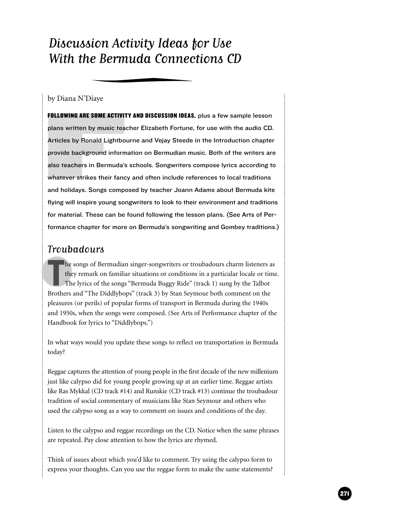# Discussion Activity Ideas for Use With the Bermuda Connections CD

by Diana N'Diaye

**FOLLOWING ARE SOME ACTIVI**<br>plans written by music tea<br>Articles by Ronald Lightbo<br>provide background inform<br>also teachers in Bermuda':<br>whatever strikes their fand<br>and holidays. Songs comp<br>flying will inspire young so FOLLOWING ARE SOME ACTIVITY AND DISCUSSION IDEAS, plus a few sample lesson plans written by music teacher Elizabeth Fortune, for use with the audio CD. Articles by Ronald Lightbourne and Vejay Steede in the Introduction chapter provide background information on Bermudian music. Both of the writers are also teachers in Bermuda's schools. Songwriters compose lyrics according to whatever strikes their fancy and often include references to local traditions and holidays. Songs composed by teacher Joann Adams about Bermuda kite flying will inspire young songwriters to look to their environment and traditions for material. These can be found following the lesson plans. (See Arts of Performance chapter for more on Bermuda's songwriting and Gombey traditions.)

# Troubadours

he songs of Bermudian singer-songwriters or troubadours charm listeners at they remark on familiar situations or conditions in a particular locale or time. The lyrics of the songs "Bermuda Buggy Ride" (track 1) sung by the he songs of Bermudian singer-songwriters or troubadours charm listeners as they remark on familiar situations or conditions in a particular locale or time. The lyrics of the songs "Bermuda Buggy Ride" (track 1) sung by the Talbot pleasures (or perils) of popular forms of transport in Bermuda during the 1940s and 1950s, when the songs were composed. (See Arts of Performance chapter of the Handbook for lyrics to "Diddlybops.")

In what ways would you update these songs to reflect on transportation in Bermuda today?

Reggae captures the attention of young people in the first decade of the new millenium just like calypso did for young people growing up at an earlier time. Reggae artists like Ras Mykkal (CD track #14) and Runskie (CD track #13) continue the troubadour tradition of social commentary of musicians like Stan Seymour and others who used the calypso song as a way to comment on issues and conditions of the day.

Listen to the calypso and reggae recordings on the CD. Notice when the same phrases are repeated. Pay close attention to how the lyrics are rhymed.

Think of issues about which you'd like to comment. Try using the calypso form to express your thoughts. Can you use the reggae form to make the same statements?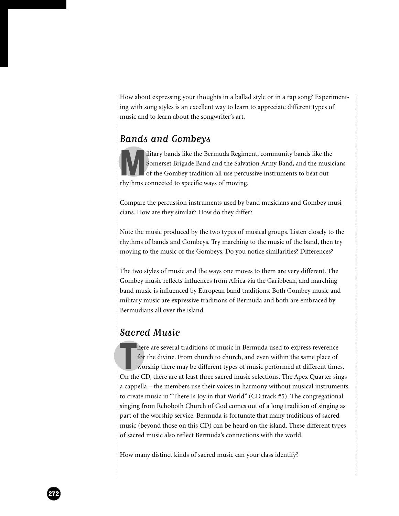How about expressing your thoughts in a ballad style or in a rap song? Experimenting with song styles is an excellent way to learn to appreciate different types of music and to learn about the songwriter's art.

# Bands and Gombeys

Ilitary bands like the Bermuda Regiment, community bands like the Somerset Brigade Band and the Salvation Army Band, and the musical of the Gombey tradition all use percussive instruments to beat out rhythms connected to s Somerset Brigade Band and the Salvation Army Band, and the musicians of the Gombey tradition all use percussive instruments to beat out rhythms connected to specific ways of moving.

Compare the percussion instruments used by band musicians and Gombey musicians. How are they similar? How do they differ?

Note the music produced by the two types of musical groups. Listen closely to the rhythms of bands and Gombeys. Try marching to the music of the band, then try moving to the music of the Gombeys. Do you notice similarities? Differences?

The two styles of music and the ways one moves to them are very different. The Gombey music reflects influences from Africa via the Caribbean, and marching band music is influenced by European band traditions. Both Gombey music and military music are expressive traditions of Bermuda and both are embraced by Bermudians all over the island.

# Sacred Music

here are several traditions of music in Bermuda used to express reverence<br>for the divine. From church to church, and even within the same place of<br>worship there may be different types of music performed at different times. here are several traditions of music in Bermuda used to express reverence for the divine. From church to church, and even within the same place of worship there may be different types of music performed at different times. a cappella—the members use their voices in harmony without musical instruments to create music in "There Is Joy in that World" (CD track #5). The congregational singing from Rehoboth Church of God comes out of a long tradition of singing as part of the worship service. Bermuda is fortunate that many traditions of sacred music (beyond those on this CD) can be heard on the island. These different types of sacred music also reflect Bermuda's connections with the world.

How many distinct kinds of sacred music can your class identify?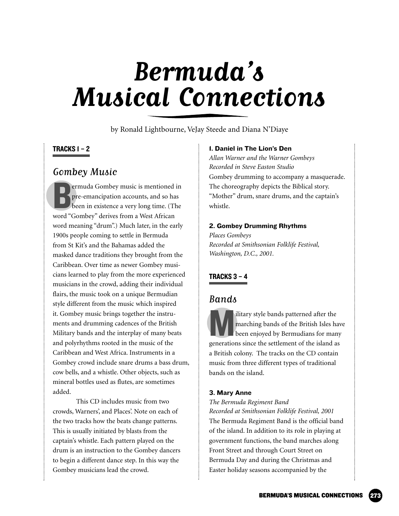# **Bermuda's Musical Connections**

by Ronald Lightbourne, VeJay Steede and Diana N'Diaye

# TRACKS 1 – 2

# Gombey Music

**BENA SERVIER COMPANDER SERVIER SERVIER SERVIER SERVIER SERVIER SERVIER SERVIER SERVIER SERVIER SERVIER SERVIER SERVIER SERVIER SERVIER SERVIER SERVIER SERVIER SERVIER SERVIER SERVIER SERVIER SERVIER SERVIER SERVIER SERVIE** ermuda Gombey music is mentioned in pre-emancipation accounts, and so has been in existence a very long time. (The word meaning "drum".) Much later, in the early 1900s people coming to settle in Bermuda from St Kit's and the Bahamas added the masked dance traditions they brought from the Caribbean. Over time as newer Gombey musicians learned to play from the more experienced musicians in the crowd, adding their individual flairs, the music took on a unique Bermudian style different from the music which inspired it. Gombey music brings together the instruments and drumming cadences of the British Military bands and the interplay of many beats and polyrhythms rooted in the music of the Caribbean and West Africa. Instruments in a Gombey crowd include snare drums a bass drum, cow bells, and a whistle. Other objects, such as mineral bottles used as flutes, are sometimes added.

This CD includes music from two crowds, Warners', and Places'. Note on each of the two tracks how the beats change patterns. This is usually initiated by blasts from the captain's whistle. Each pattern played on the drum is an instruction to the Gombey dancers to begin a different dance step. In this way the Gombey musicians lead the crowd.

### 1. Daniel in The Lion's Den

*Allan Warner and the Warner Gombeys Recorded in Steve Easton Studio* Gombey drumming to accompany a masquerade. The choreography depicts the Biblical story. "Mother" drum, snare drums, and the captain's whistle.

### 2. Gombey Drumming Rhythms

*Places Gombeys Recorded at Smithsonian Folklife Festival, Washington, D.C., 2001.*

# TRACKS 3 – 4

# **Bands**

Military style bands patterned after the<br>marching bands of the British Isles have<br>been enjoyed by Bermudians for many<br>generations since the settlement of the island as marching bands of the British Isles have been enjoyed by Bermudians for many a British colony. The tracks on the CD contain music from three different types of traditional bands on the island.

### 3. Mary Anne

*The Bermuda Regiment Band Recorded at Smithsonian Folklife Festival, 2001* The Bermuda Regiment Band is the official band of the island. In addition to its role in playing at government functions, the band marches along Front Street and through Court Street on Bermuda Day and during the Christmas and Easter holiday seasons accompanied by the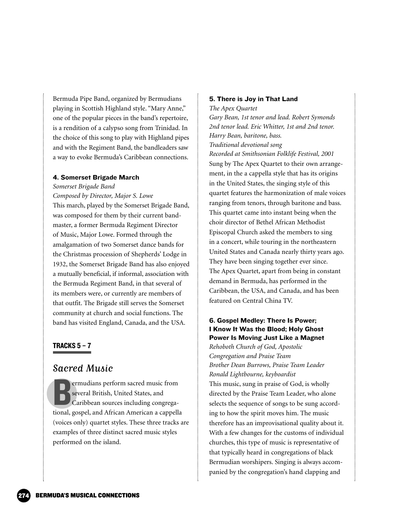Bermuda Pipe Band, organized by Bermudians playing in Scottish Highland style. "Mary Anne," one of the popular pieces in the band's repertoire, is a rendition of a calypso song from Trinidad. In the choice of this song to play with Highland pipes and with the Regiment Band, the bandleaders saw a way to evoke Bermuda's Caribbean connections.

# 4. Somerset Brigade March

*Somerset Brigade Band*

*Composed by Director, Major S. Lowe* This march, played by the Somerset Brigade Band, was composed for them by their current bandmaster, a former Bermuda Regiment Director of Music, Major Lowe. Formed through the amalgamation of two Somerset dance bands for the Christmas procession of Shepherds' Lodge in 1932, the Somerset Brigade Band has also enjoyed a mutually beneficial, if informal, association with the Bermuda Regiment Band, in that several of its members were, or currently are members of that outfit. The Brigade still serves the Somerset community at church and social functions. The band has visited England, Canada, and the USA.

# TRACKS 5 – 7

# Sacred Music

Emudians perform sacred music from<br>
several British, United States, and<br>
Caribbean sources including congrega-<br>
tional, gospel, and African American a cappella ermudians perform sacred music from several British, United States, and Caribbean sources including congrega-(voices only) quartet styles. These three tracks are examples of three distinct sacred music styles performed on the island.

# 5. There is Joy in That Land

*The Apex Quartet Gary Bean, 1st tenor and lead. Robert Symonds 2nd tenor lead. Eric Whitter, 1st and 2nd tenor. Harry Bean, baritone, bass. Traditional devotional song Recorded at Smithsonian Folklife Festival, 2001* Sung by The Apex Quartet to their own arrangement, in the a cappella style that has its origins in the United States, the singing style of this quartet features the harmonization of male voices ranging from tenors, through baritone and bass. This quartet came into instant being when the choir director of Bethel African Methodist Episcopal Church asked the members to sing in a concert, while touring in the northeastern United States and Canada nearly thirty years ago. They have been singing together ever since. The Apex Quartet, apart from being in constant demand in Bermuda, has performed in the Caribbean, the USA, and Canada, and has been featured on Central China TV.

# 6. Gospel Medley: There Is Power; I Know It Was the Blood; Holy Ghost Power Is Moving Just Like a Magnet

*Rehoboth Church of God, Apostolic Congregation and Praise Team Brother Dean Burrows, Praise Team Leader Ronald Lightbourne, keyboardist* This music, sung in praise of God, is wholly

directed by the Praise Team Leader, who alone selects the sequence of songs to be sung according to how the spirit moves him. The music therefore has an improvisational quality about it. With a few changes for the customs of individual churches, this type of music is representative of that typically heard in congregations of black Bermudian worshipers. Singing is always accompanied by the congregation's hand clapping and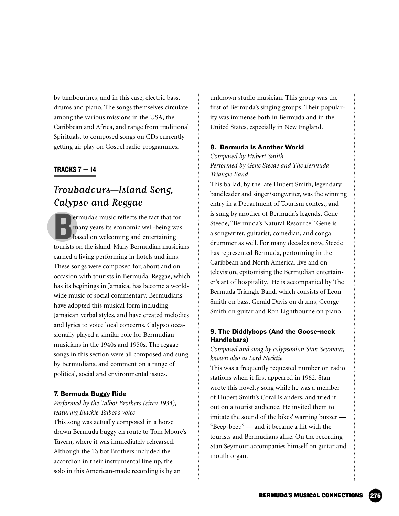by tambourines, and in this case, electric bass, drums and piano. The songs themselves circulate among the various missions in the USA, the Caribbean and Africa, and range from traditional Spirituals, to composed songs on CDs currently getting air play on Gospel radio programmes.

# TRACKS  $7 - 14$

# Troubadours—Island Song, Calypso and Reggae

**Example 3** experimental is experienced to that for many years its economic well-being was based on welcoming and entertaining tourists on the island. Many Bermudian musicians ermuda's music reflects the fact that for many years its economic well-being was based on welcoming and entertaining earned a living performing in hotels and inns. These songs were composed for, about and on occasion with tourists in Bermuda. Reggae, which has its beginings in Jamaica, has become a worldwide music of social commentary. Bermudians have adopted this musical form including Jamaican verbal styles, and have created melodies and lyrics to voice local concerns. Calypso occasionally played a similar role for Bermudian musicians in the 1940s and 1950s. The reggae songs in this section were all composed and sung by Bermudians, and comment on a range of political, social and environmental issues.

## 7. Bermuda Buggy Ride

# *Performed by the Talbot Brothers (circa 1934), featuring Blackie Talbot's voice*

This song was actually composed in a horse drawn Bermuda buggy en route to Tom Moore's Tavern, where it was immediately rehearsed. Although the Talbot Brothers included the accordion in their instrumental line up, the solo in this American-made recording is by an

unknown studio musician. This group was the first of Bermuda's singing groups. Their popularity was immense both in Bermuda and in the United States, especially in New England.

# 8. Bermuda Is Another World

*Composed by Hubert Smith Performed by Gene Steede and The Bermuda Triangle Band*

This ballad, by the late Hubert Smith, legendary bandleader and singer/songwriter, was the winning entry in a Department of Tourism contest, and is sung by another of Bermuda's legends, Gene Steede, "Bermuda's Natural Resource." Gene is a songwriter, guitarist, comedian, and conga drummer as well. For many decades now, Steede has represented Bermuda, performing in the Caribbean and North America, live and on television, epitomising the Bermudian entertainer's art of hospitality. He is accompanied by The Bermuda Triangle Band, which consists of Leon Smith on bass, Gerald Davis on drums, George Smith on guitar and Ron Lightbourne on piano.

# 9. The Diddlybops (And the Goose-neck Handlebars)

# *Composed and sung by calypsonian Stan Seymour, known also as Lord Necktie*

This was a frequently requested number on radio stations when it first appeared in 1962. Stan wrote this novelty song while he was a member of Hubert Smith's Coral Islanders, and tried it out on a tourist audience. He invited them to imitate the sound of the bikes' warning buzzer — "Beep-beep" — and it became a hit with the tourists and Bermudians alike. On the recording Stan Seymour accompanies himself on guitar and mouth organ.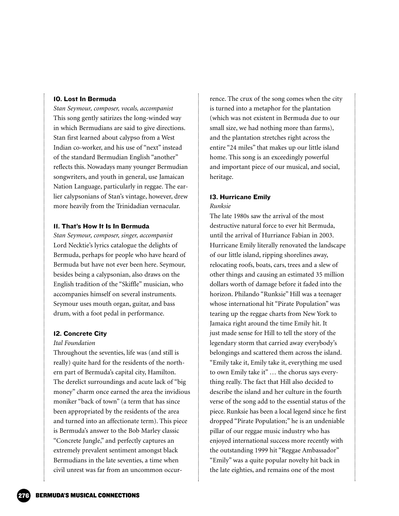### 10. Lost In Bermuda

*Stan Seymour, composer, vocals, accompanist*  This song gently satirizes the long-winded way in which Bermudians are said to give directions. Stan first learned about calypso from a West Indian co-worker, and his use of "next" instead of the standard Bermudian English "another" reflects this. Nowadays many younger Bermudian songwriters, and youth in general, use Jamaican Nation Language, particularly in reggae. The earlier calypsonians of Stan's vintage, however, drew more heavily from the Trinidadian vernacular.

## 11. That's How It Is In Bermuda

*Stan Seymour, composer, singer, accompanist* Lord Necktie's lyrics catalogue the delights of Bermuda, perhaps for people who have heard of Bermuda but have not ever been here. Seymour, besides being a calypsonian, also draws on the English tradition of the "Skiffle" musician, who accompanies himself on several instruments. Seymour uses mouth organ, guitar, and bass drum, with a foot pedal in performance.

# 12. Concrete City

### *Ital Foundation*

Throughout the seventies, life was (and still is really) quite hard for the residents of the northern part of Bermuda's capital city, Hamilton. The derelict surroundings and acute lack of "big money" charm once earned the area the invidious moniker "back of town" (a term that has since been appropriated by the residents of the area and turned into an affectionate term). This piece is Bermuda's answer to the Bob Marley classic "Concrete Jungle," and perfectly captures an extremely prevalent sentiment amongst black Bermudians in the late seventies, a time when civil unrest was far from an uncommon occurrence. The crux of the song comes when the city is turned into a metaphor for the plantation (which was not existent in Bermuda due to our small size, we had nothing more than farms), and the plantation stretches right across the entire "24 miles" that makes up our little island home. This song is an exceedingly powerful and important piece of our musical, and social, heritage.

# 13. Hurricane Emily

### *Runksie*

The late 1980s saw the arrival of the most destructive natural force to ever hit Bermuda, until the arrival of Hurriance Fabian in 2003. Hurricane Emily literally renovated the landscape of our little island, ripping shorelines away, relocating roofs, boats, cars, trees and a slew of other things and causing an estimated 35 million dollars worth of damage before it faded into the horizon. Philando "Runksie" Hill was a teenager whose international hit "Pirate Population" was tearing up the reggae charts from New York to Jamaica right around the time Emily hit. It just made sense for Hill to tell the story of the legendary storm that carried away everybody's belongings and scattered them across the island. "Emily take it, Emily take it, everything me used to own Emily take it" … the chorus says everything really. The fact that Hill also decided to describe the island and her culture in the fourth verse of the song add to the essential status of the piece. Runksie has been a local legend since he first dropped "Pirate Population;" he is an undeniable pillar of our reggae music industry who has enjoyed international success more recently with the outstanding 1999 hit "Reggae Ambassador" "Emily" was a quite popular novelty hit back in the late eighties, and remains one of the most

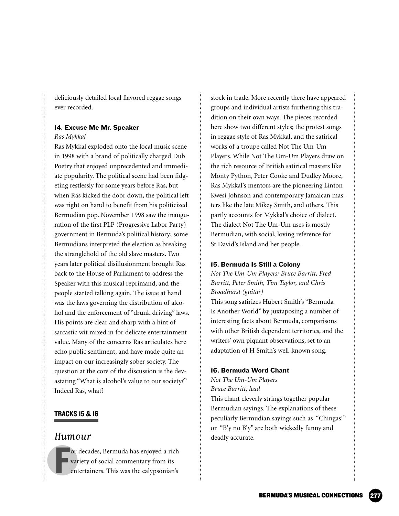deliciously detailed local flavored reggae songs ever recorded.

# 14. Excuse Me Mr. Speaker

# *Ras Mykkal*

Ras Mykkal exploded onto the local music scene in 1998 with a brand of politically charged Dub Poetry that enjoyed unprecedented and immediate popularity. The political scene had been fidgeting restlessly for some years before Ras, but when Ras kicked the door down, the political left was right on hand to benefit from his politicized Bermudian pop. November 1998 saw the inauguration of the first PLP (Progressive Labor Party) government in Bermuda's political history; some Bermudians interpreted the election as breaking the stranglehold of the old slave masters. Two years later political disillusionment brought Ras back to the House of Parliament to address the Speaker with this musical reprimand, and the people started talking again. The issue at hand was the laws governing the distribution of alcohol and the enforcement of "drunk driving" laws. His points are clear and sharp with a hint of sarcastic wit mixed in for delicate entertainment value. Many of the concerns Ras articulates here echo public sentiment, and have made quite an impact on our increasingly sober society. The question at the core of the discussion is the devastating "What is alcohol's value to our society?" Indeed Ras, what?

# TRACKS15 & 16

# Humour

F or decades, Bermuda has enjoyed a rich variety of social commentary from its entertainers. This was the calypsonian's

stock in trade. More recently there have appeared groups and individual artists furthering this tradition on their own ways. The pieces recorded here show two different styles; the protest songs in reggae style of Ras Mykkal, and the satirical works of a troupe called Not The Um-Um Players. While Not The Um-Um Players draw on the rich resource of British satirical masters like Monty Python, Peter Cooke and Dudley Moore, Ras Mykkal's mentors are the pioneering Linton Kwesi Johnson and contemporary Jamaican masters like the late Mikey Smith, and others. This partly accounts for Mykkal's choice of dialect. The dialect Not The Um-Um uses is mostly Bermudian, with social, loving reference for St David's Island and her people.

### 15. Bermuda Is Still a Colony

*Not The Um-Um Players: Bruce Barritt, Fred Barritt, Peter Smith, Tim Taylor, and Chris Broadhurst (guitar)*

This song satirizes Hubert Smith's "Bermuda Is Another World" by juxtaposing a number of interesting facts about Bermuda, comparisons with other British dependent territories, and the writers' own piquant observations, set to an adaptation of H Smith's well-known song.

### 16. Bermuda Word Chant

*Not The Um-Um Players Bruce Barritt, lead* This chant cleverly strings together popular Bermudian sayings. The explanations of these peculiarly Bermudian sayings such as "Chingas!" or "B'y no B'y" are both wickedly funny and deadly accurate.